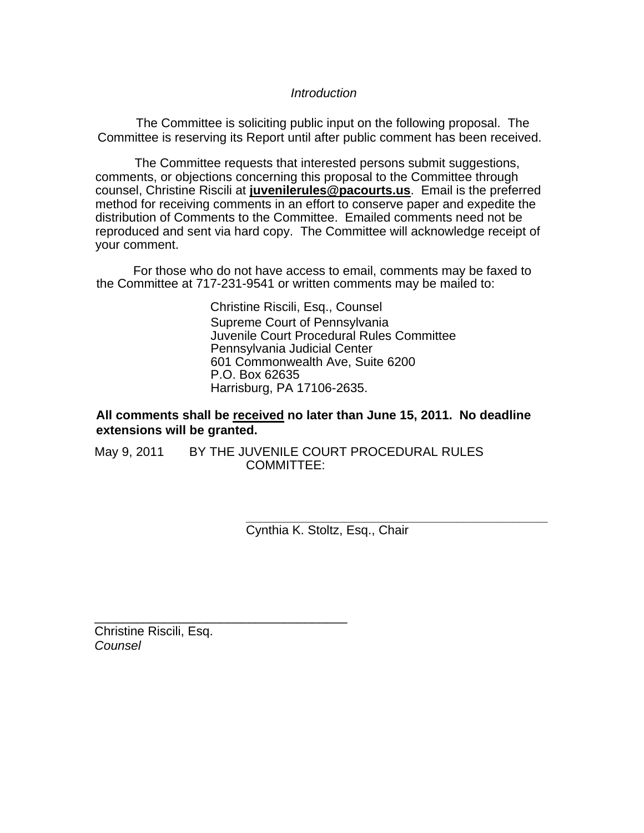## *Introduction*

The Committee is soliciting public input on the following proposal. The Committee is reserving its Report until after public comment has been received.

The Committee requests that interested persons submit suggestions, comments, or objections concerning this proposal to the Committee through counsel, Christine Riscili at **juvenilerules@pacourts.us**. Email is the preferred method for receiving comments in an effort to conserve paper and expedite the distribution of Comments to the Committee. Emailed comments need not be reproduced and sent via hard copy. The Committee will acknowledge receipt of your comment.

I For those who do not have access to email, comments may be faxed to the Committee at 717-231-9541 or written comments may be mailed to:

> Christine Riscili, Esq., Counsel Supreme Court of Pennsylvania Juvenile Court Procedural Rules Committee Pennsylvania Judicial Center 601 Commonwealth Ave, Suite 6200 P.O. Box 62635 Harrisburg, PA 17106-2635.

## **All comments shall be received no later than June 15, 2011. No deadline extensions will be granted.**

May 9, 2011 BY THE JUVENILE COURT PROCEDURAL RULES COMMITTEE:

> **\_\_\_\_\_\_\_\_\_\_\_\_\_\_\_\_\_\_\_\_\_\_\_\_\_\_\_\_\_\_\_\_\_\_\_\_\_\_\_\_\_\_\_**  Cynthia K. Stoltz, Esq., Chair

Christine Riscili, Esq. *Counsel*

\_\_\_\_\_\_\_\_\_\_\_\_\_\_\_\_\_\_\_\_\_\_\_\_\_\_\_\_\_\_\_\_\_\_\_\_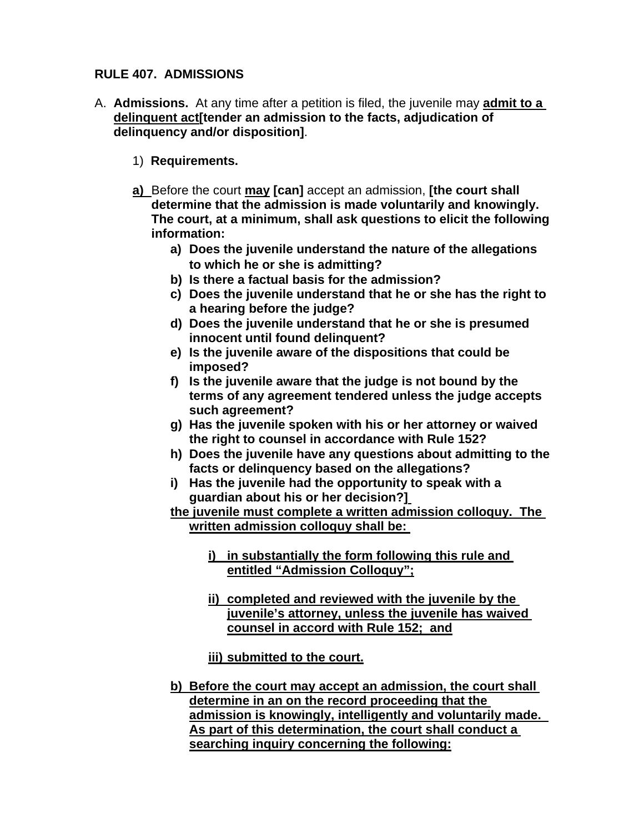# **RULE 407. ADMISSIONS**

- A. **Admissions.** At any time after a petition is filed, the juvenile may **admit to a delinquent act[tender an admission to the facts, adjudication of delinquency and/or disposition]**.
	- 1) **Requirements.**
	- **a)** Before the court **may [can]** accept an admission, **[the court shall determine that the admission is made voluntarily and knowingly. The court, at a minimum, shall ask questions to elicit the following information:** 
		- **a) Does the juvenile understand the nature of the allegations to which he or she is admitting?**
		- **b) Is there a factual basis for the admission?**
		- **c) Does the juvenile understand that he or she has the right to a hearing before the judge?**
		- **d) Does the juvenile understand that he or she is presumed innocent until found delinquent?**
		- **e) Is the juvenile aware of the dispositions that could be imposed?**
		- **f) Is the juvenile aware that the judge is not bound by the terms of any agreement tendered unless the judge accepts such agreement?**
		- **g) Has the juvenile spoken with his or her attorney or waived the right to counsel in accordance with Rule 152?**
		- **h) Does the juvenile have any questions about admitting to the facts or delinquency based on the allegations?**
		- **i) Has the juvenile had the opportunity to speak with a guardian about his or her decision?]**

**the juvenile must complete a written admission colloquy. The written admission colloquy shall be:** 

- **i) in substantially the form following this rule and entitled "Admission Colloquy";**
- **ii) completed and reviewed with the juvenile by the juvenile's attorney, unless the juvenile has waived counsel in accord with Rule 152; and**
- **iii) submitted to the court.**
- **b) Before the court may accept an admission, the court shall determine in an on the record proceeding that the admission is knowingly, intelligently and voluntarily made. As part of this determination, the court shall conduct a searching inquiry concerning the following:**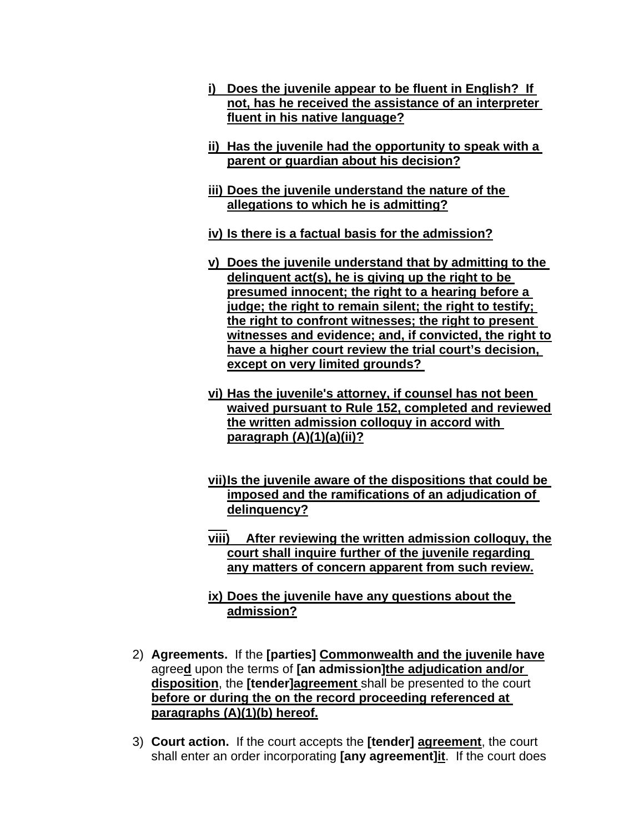- **i) Does the juvenile appear to be fluent in English? If not, has he received the assistance of an interpreter fluent in his native language?**
- **ii) Has the juvenile had the opportunity to speak with a parent or guardian about his decision?**
- **iii) Does the juvenile understand the nature of the allegations to which he is admitting?**
- **iv) Is there is a factual basis for the admission?**
- **v) Does the juvenile understand that by admitting to the delinquent act(s), he is giving up the right to be presumed innocent; the right to a hearing before a judge; the right to remain silent; the right to testify; the right to confront witnesses; the right to present witnesses and evidence; and, if convicted, the right to have a higher court review the trial court's decision, except on very limited grounds?**
- **vi) Has the juvenile's attorney, if counsel has not been waived pursuant to Rule 152, completed and reviewed the written admission colloquy in accord with paragraph (A)(1)(a)(ii)?**
- **vii) Is the juvenile aware of the dispositions that could be imposed and the ramifications of an adjudication of delinquency?**
- **viii) After reviewing the written admission colloquy, the court shall inquire further of the juvenile regarding any matters of concern apparent from such review.**
- **ix) Does the juvenile have any questions about the admission?**
- 2) **Agreements.** If the **[parties] Commonwealth and the juvenile have** agree**d** upon the terms of **[an admission]the adjudication and/or disposition**, the **[tender]agreement** shall be presented to the court **before or during the on the record proceeding referenced at paragraphs (A)(1)(b) hereof.**
- 3) **Court action.** If the court accepts the **[tender] agreement**, the court shall enter an order incorporating **[any agreement]it**. If the court does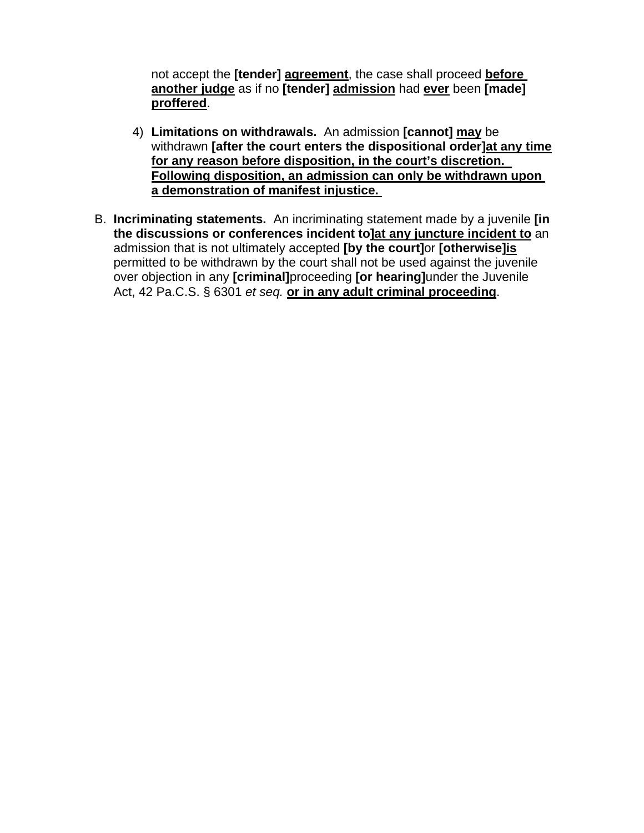not accept the **[tender] agreement**, the case shall proceed **before another judge** as if no **[tender] admission** had **ever** been **[made] proffered**.

- 4) **Limitations on withdrawals.** An admission **[cannot] may** be withdrawn **[after the court enters the dispositional order]at any time for any reason before disposition, in the court's discretion. Following disposition, an admission can only be withdrawn upon a demonstration of manifest injustice.**
- B. **Incriminating statements.** An incriminating statement made by a juvenile **[in the discussions or conferences incident to]at any juncture incident to** an admission that is not ultimately accepted **[by the court]**or **[otherwise]is** permitted to be withdrawn by the court shall not be used against the juvenile over objection in any **[criminal]**proceeding **[or hearing]**under the Juvenile Act, 42 Pa.C.S. § 6301 *et seq.* **or in any adult criminal proceeding**.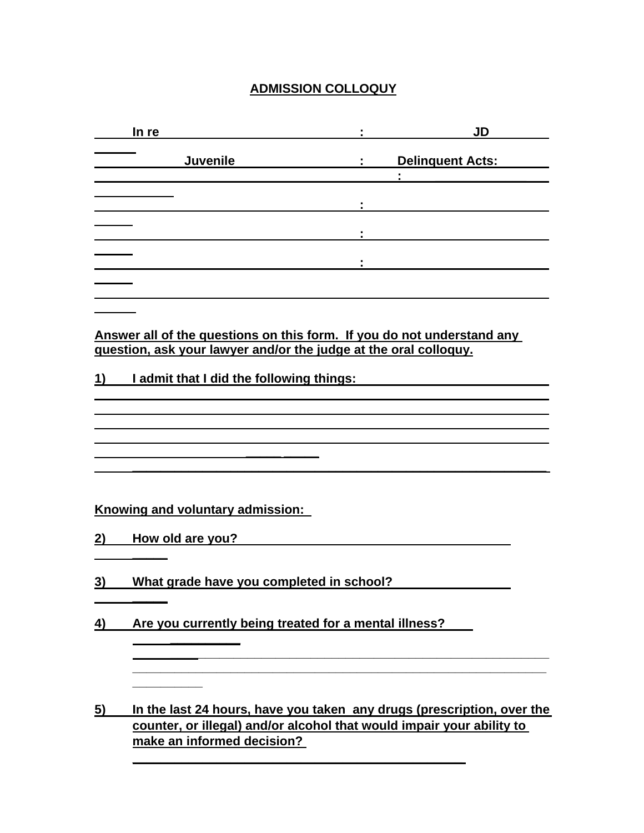# **ADMISSION COLLOQUY**

| In re                                                                                                                                      |                                             | <b>JD</b>        |
|--------------------------------------------------------------------------------------------------------------------------------------------|---------------------------------------------|------------------|
| <b>Juvenile</b>                                                                                                                            | $\mathbf{r} = \mathbf{r} \times \mathbf{r}$ | Delinquent Acts: |
|                                                                                                                                            |                                             |                  |
|                                                                                                                                            |                                             |                  |
|                                                                                                                                            |                                             |                  |
|                                                                                                                                            |                                             |                  |
| Answer all of the questions on this form. If you do not understand any<br>question, ask your lawyer and/or the judge at the oral colloquy. |                                             |                  |
| 1)<br>I admit that I did the following things:                                                                                             |                                             |                  |
|                                                                                                                                            |                                             |                  |
|                                                                                                                                            |                                             |                  |
|                                                                                                                                            |                                             |                  |
| Knowing and voluntary admission:                                                                                                           |                                             |                  |

**2) How old are you?** 

 **\_\_\_\_\_**

 **\_\_\_\_\_**

 **\_\_\_\_\_\_\_\_\_\_**

**3) What grade have you completed in school?** 

**4) Are you currently being treated for a mental illness?** 

**5) In the last 24 hours, have you taken any drugs (prescription, over the counter, or illegal) and/or alcohol that would impair your ability to make an informed decision?** 

**\_\_\_\_\_\_\_\_\_\_\_\_\_\_\_\_\_\_\_\_\_\_\_\_\_\_\_\_\_\_\_\_\_\_\_\_\_\_\_\_\_\_\_\_\_\_\_** 

 **\_\_\_\_\_\_\_\_\_\_\_\_\_\_\_\_\_\_\_\_\_\_\_\_\_\_\_\_\_\_\_\_\_\_\_\_\_\_\_\_\_\_\_\_\_\_\_\_\_\_\_\_\_\_ \_\_\_\_\_\_\_\_\_\_\_\_\_\_\_\_\_\_\_\_\_\_\_\_\_\_\_\_\_\_\_\_\_\_\_\_\_\_\_\_\_\_\_\_\_\_\_\_\_\_\_\_\_\_\_\_\_\_\_**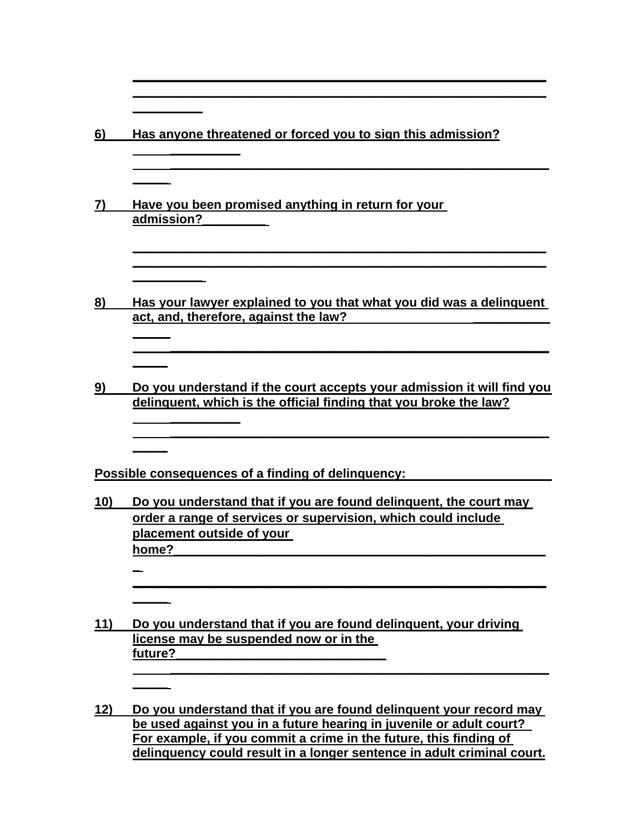| 6)         | Has anyone threatened or forced you to sign this admission?                                                                                                                                                                                                                              |
|------------|------------------------------------------------------------------------------------------------------------------------------------------------------------------------------------------------------------------------------------------------------------------------------------------|
|            | Have you been promised anything in return for your<br>admission?                                                                                                                                                                                                                         |
| 8)         | Has your lawyer explained to you that what you did was a delinguent<br>act, and, therefore, against the law?                                                                                                                                                                             |
| 9)         | Do you understand if the court accepts your admission it will find you<br>delinguent, which is the official finding that you broke the law?                                                                                                                                              |
|            | Possible consequences of a finding of delinquency:                                                                                                                                                                                                                                       |
| 10)        | Do you understand that if you are found delinguent, the court may<br>order a range of services or supervision, which could include<br>placement outside of your<br>home?                                                                                                                 |
| <u>11)</u> | Do you understand that if you are found delinguent, your driving                                                                                                                                                                                                                         |
|            | license may be suspended now or in the<br>future?                                                                                                                                                                                                                                        |
| 12)        | Do you understand that if you are found delinguent your record may<br>be used against you in a future hearing in juvenile or adult court?<br>For example, if you commit a crime in the future, this finding of<br>delinquency could result in a longer sentence in adult criminal court. |

**\_\_\_\_\_\_\_\_\_\_\_\_\_\_\_\_\_\_\_\_\_\_\_\_\_\_\_\_\_\_\_\_\_\_\_\_\_\_\_\_\_\_\_\_\_\_\_\_\_\_\_\_\_\_\_\_\_\_\_ \_\_\_\_\_\_\_\_\_\_\_\_\_\_\_\_\_\_\_\_\_\_\_\_\_\_\_\_\_\_\_\_\_\_\_\_\_\_\_\_\_\_\_\_\_\_\_\_\_\_\_\_\_\_\_\_\_\_\_**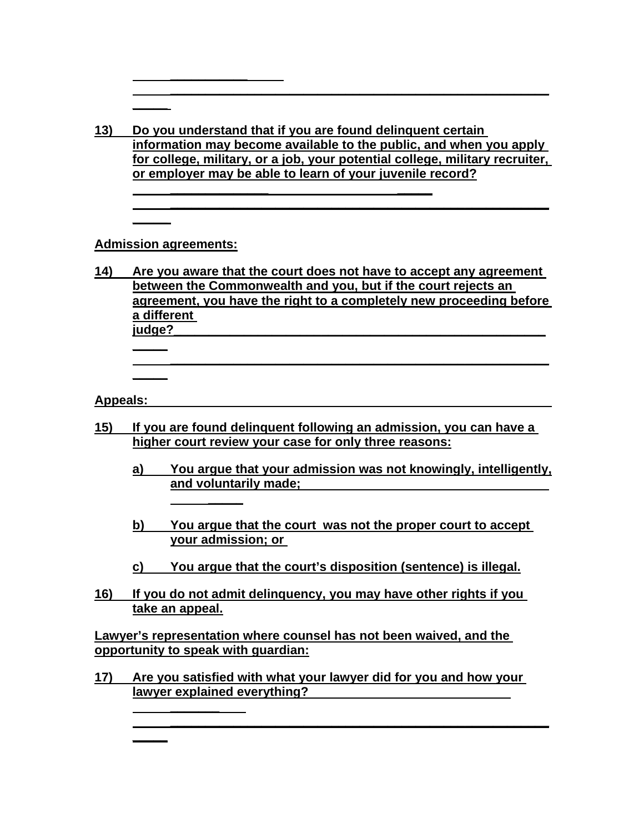**13) Do you understand that if you are found delinquent certain information may become available to the public, and when you apply for college, military, or a job, your potential college, military recruiter, or employer may be able to learn of your juvenile record?**

 **\_\_\_\_\_\_\_\_\_\_\_\_\_\_ \_\_\_\_\_**

 **\_\_\_\_\_\_\_\_\_\_\_\_\_\_\_\_\_\_\_\_\_\_\_\_\_\_\_\_\_\_\_\_\_\_\_\_\_\_\_\_\_\_\_\_\_\_\_\_\_\_\_\_\_\_**

 **\_\_\_\_\_\_\_\_\_\_\_\_\_\_\_\_\_\_\_\_\_\_\_\_\_\_\_\_\_\_\_\_\_\_\_\_\_\_\_\_\_\_\_\_\_\_\_\_\_\_\_\_\_\_**

## **Admission agreements:**

**\_\_\_\_\_** 

**\_\_\_\_\_**

**\_\_\_\_\_**

 **\_\_\_\_\_**

 **\_\_\_\_\_\_\_** 

**\_\_\_\_\_**

**\_\_\_\_\_** 

 **\_\_\_\_\_\_\_\_\_\_\_** 

**14) Are you aware that the court does not have to accept any agreement between the Commonwealth and you, but if the court rejects an agreement, you have the right to a completely new proceeding before a different judge?\_\_\_\_\_\_\_\_\_\_\_\_\_\_\_\_\_\_\_\_\_\_\_\_\_\_\_\_\_\_\_\_\_\_\_\_\_\_\_\_\_\_\_\_\_\_\_\_\_\_\_\_\_**

#### **Appeals:**

- **15) If you are found delinquent following an admission, you can have a higher court review your case for only three reasons:**
	- **a) You argue that your admission was not knowingly, intelligently, and voluntarily made;**

 **\_\_\_\_\_\_\_\_\_\_\_\_\_\_\_\_\_\_\_\_\_\_\_\_\_\_\_\_\_\_\_\_\_\_\_\_\_\_\_\_\_\_\_\_\_\_\_\_\_\_\_\_\_\_**

- **b) You argue that the court was not the proper court to accept your admission; or**
- **c) You argue that the court's disposition (sentence) is illegal.**
- **16) If you do not admit delinquency, you may have other rights if you take an appeal.**

**Lawyer's representation where counsel has not been waived, and the opportunity to speak with guardian:**

**17) Are you satisfied with what your lawyer did for you and how your lawyer explained everything?** 

 **\_\_\_\_\_\_\_\_\_\_\_\_\_\_\_\_\_\_\_\_\_\_\_\_\_\_\_\_\_\_\_\_\_\_\_\_\_\_\_\_\_\_\_\_\_\_\_\_\_\_\_\_\_\_**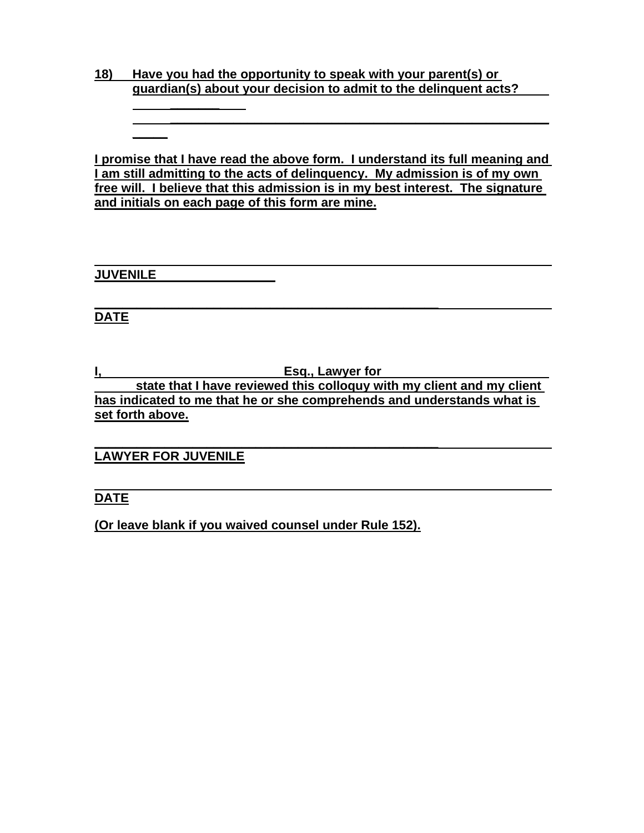## **18) Have you had the opportunity to speak with your parent(s) or guardian(s) about your decision to admit to the delinquent acts? \_\_\_\_\_\_\_**

**I promise that I have read the above form. I understand its full meaning and I am still admitting to the acts of delinquency. My admission is of my own free will. I believe that this admission is in my best interest. The signature and initials on each page of this form are mine.**

 **\_\_\_\_\_\_\_\_\_\_\_\_\_\_\_\_\_\_\_\_\_\_\_\_\_\_\_\_\_\_\_\_\_\_\_\_\_\_\_\_\_\_\_\_\_\_\_\_\_\_\_\_\_\_**

**JUVENILE** 

**\_\_\_\_\_**

## **\_\_\_\_\_\_\_\_\_\_\_\_\_\_\_\_\_\_\_\_\_\_\_\_\_\_\_\_\_\_\_\_\_\_\_\_\_\_\_\_\_\_\_\_\_\_\_\_\_ DATE**

**I, Esq., Lawyer for state that I have reviewed this colloquy with my client and my client has indicated to me that he or she comprehends and understands what is set forth above.**

**\_\_\_\_\_\_\_\_\_\_\_\_\_\_\_\_\_\_\_\_\_\_\_\_\_\_\_\_\_\_\_\_\_\_\_\_\_\_\_\_\_\_\_\_\_\_\_\_\_ LAWYER FOR JUVENILE**

### **DATE**

**(Or leave blank if you waived counsel under Rule 152).**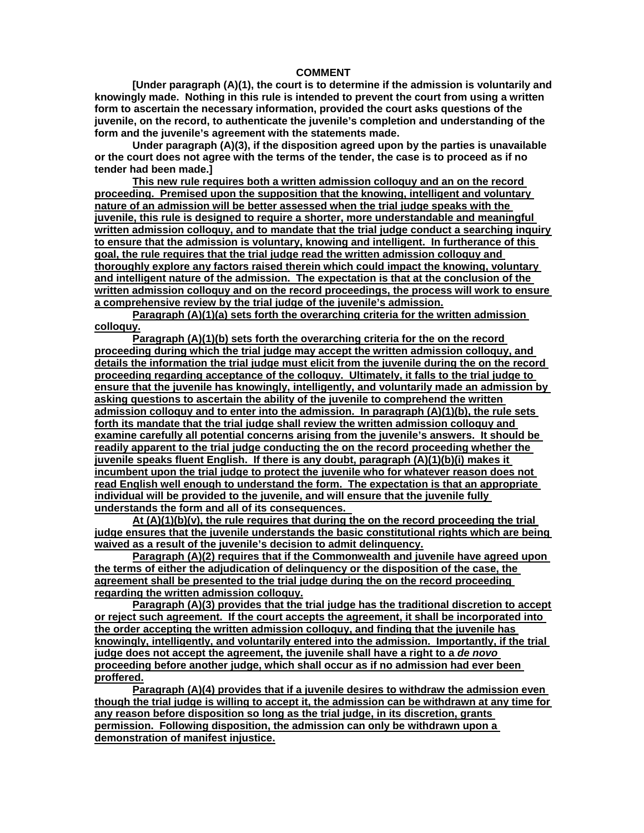#### **COMMENT**

**[Under paragraph (A)(1), the court is to determine if the admission is voluntarily and knowingly made. Nothing in this rule is intended to prevent the court from using a written form to ascertain the necessary information, provided the court asks questions of the juvenile, on the record, to authenticate the juvenile's completion and understanding of the form and the juvenile's agreement with the statements made.** 

**Under paragraph (A)(3), if the disposition agreed upon by the parties is unavailable or the court does not agree with the terms of the tender, the case is to proceed as if no tender had been made.]** 

**This new rule requires both a written admission colloquy and an on the record proceeding. Premised upon the supposition that the knowing, intelligent and voluntary nature of an admission will be better assessed when the trial judge speaks with the juvenile, this rule is designed to require a shorter, more understandable and meaningful written admission colloquy, and to mandate that the trial judge conduct a searching inquiry to ensure that the admission is voluntary, knowing and intelligent. In furtherance of this goal, the rule requires that the trial judge read the written admission colloquy and thoroughly explore any factors raised therein which could impact the knowing, voluntary and intelligent nature of the admission. The expectation is that at the conclusion of the written admission colloquy and on the record proceedings, the process will work to ensure a comprehensive review by the trial judge of the juvenile's admission.**

**Paragraph (A)(1)(a) sets forth the overarching criteria for the written admission colloquy.**

**Paragraph (A)(1)(b) sets forth the overarching criteria for the on the record proceeding during which the trial judge may accept the written admission colloquy, and details the information the trial judge must elicit from the juvenile during the on the record proceeding regarding acceptance of the colloquy. Ultimately, it falls to the trial judge to ensure that the juvenile has knowingly, intelligently, and voluntarily made an admission by asking questions to ascertain the ability of the juvenile to comprehend the written admission colloquy and to enter into the admission. In paragraph (A)(1)(b), the rule sets forth its mandate that the trial judge shall review the written admission colloquy and examine carefully all potential concerns arising from the juvenile's answers. It should be readily apparent to the trial judge conducting the on the record proceeding whether the juvenile speaks fluent English. If there is any doubt, paragraph (A)(1)(b)(i) makes it incumbent upon the trial judge to protect the juvenile who for whatever reason does not read English well enough to understand the form. The expectation is that an appropriate individual will be provided to the juvenile, and will ensure that the juvenile fully understands the form and all of its consequences.** 

**At (A)(1)(b)(v), the rule requires that during the on the record proceeding the trial judge ensures that the juvenile understands the basic constitutional rights which are being waived as a result of the juvenile's decision to admit delinquency.**

**Paragraph (A)(2) requires that if the Commonwealth and juvenile have agreed upon the terms of either the adjudication of delinquency or the disposition of the case, the agreement shall be presented to the trial judge during the on the record proceeding regarding the written admission colloquy.**

**Paragraph (A)(3) provides that the trial judge has the traditional discretion to accept or reject such agreement. If the court accepts the agreement, it shall be incorporated into the order accepting the written admission colloquy, and finding that the juvenile has knowingly, intelligently, and voluntarily entered into the admission. Importantly, if the trial judge does not accept the agreement, the juvenile shall have a right to a** *de novo* **proceeding before another judge, which shall occur as if no admission had ever been proffered.**

**Paragraph (A)(4) provides that if a juvenile desires to withdraw the admission even though the trial judge is willing to accept it, the admission can be withdrawn at any time for any reason before disposition so long as the trial judge, in its discretion, grants permission. Following disposition, the admission can only be withdrawn upon a demonstration of manifest injustice.**